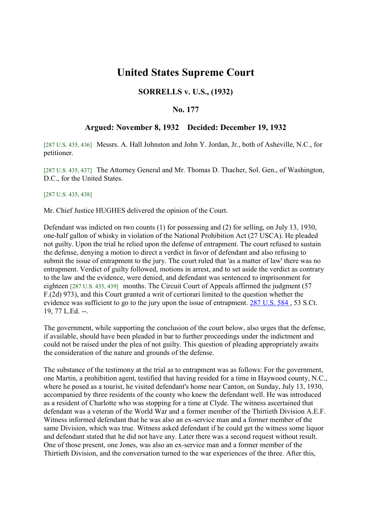# **United States Supreme Court**

## **SORRELLS v. U.S., (1932)**

### **No. 177**

#### **Argued: November 8, 1932 Decided: December 19, 1932**

[287 U.S. 435, 436] Messrs. A. Hall Johnston and John Y. Jordan, Jr., both of Asheville, N.C., for petitioner.

[287 U.S. 435, 437] The Attorney General and Mr. Thomas D. Thacher, Sol. Gen., of Washington, D.C., for the United States.

[287 U.S. 435, 438]

Mr. Chief Justice HUGHES delivered the opinion of the Court.

Defendant was indicted on two counts (1) for possessing and (2) for selling, on July 13, 1930, one-half gallon of whisky in violation of the National Prohibition Act (27 USCA). He pleaded not guilty. Upon the trial he relied upon the defense of entrapment. The court refused to sustain the defense, denying a motion to direct a verdict in favor of defendant and also refusing to submit the issue of entrapment to the jury. The court ruled that 'as a matter of law' there was no entrapment. Verdict of guilty followed, motions in arrest, and to set aside the verdict as contrary to the law and the evidence, were denied, and defendant was sentenced to imprisonment for eighteen [287 U.S. 435, 439] months. The Circuit Court of Appeals affirmed the judgment (57 F.(2d) 973), and this Court granted a writ of certiorari limited to the question whether the evidence was sufficient to go to the jury upon the issue of entrapment. 287 U.S. 584 , 53 S.Ct. 19, 77 L.Ed. --.

The government, while supporting the conclusion of the court below, also urges that the defense, if available, should have been pleaded in bar to further proceedings under the indictment and could not be raised under the plea of not guilty. This question of pleading appropriately awaits the consideration of the nature and grounds of the defense.

The substance of the testimony at the trial as to entrapment was as follows: For the government, one Martin, a prohibition agent, testified that having resided for a time in Haywood county, N.C., where he posed as a tourist, he visited defendant's home near Canton, on Sunday, July 13, 1930, accompanied by three residents of the county who knew the defendant well. He was introduced as a resident of Charlotte who was stopping for a time at Clyde. The witness ascertained that defendant was a veteran of the World War and a former member of the Thirtieth Division A.E.F. Witness informed defendant that he was also an ex-service man and a former member of the same Division, which was true. Witness asked defendant if he could get the witness some liquor and defendant stated that he did not have any. Later there was a second request without result. One of those present, one Jones, was also an ex-service man and a former member of the Thirtieth Division, and the conversation turned to the war experiences of the three. After this,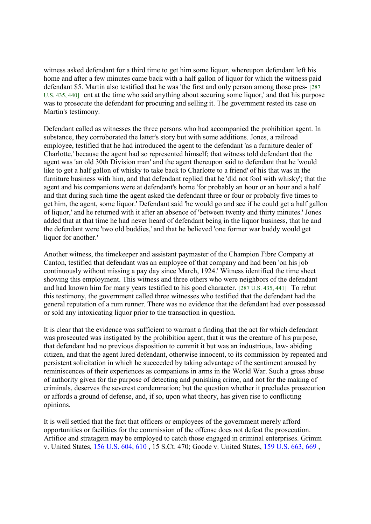witness asked defendant for a third time to get him some liquor, whereupon defendant left his home and after a few minutes came back with a half gallon of liquor for which the witness paid defendant \$5. Martin also testified that he was 'the first and only person among those pres- [287 U.S. 435, 440] ent at the time who said anything about securing some liquor,' and that his purpose was to prosecute the defendant for procuring and selling it. The government rested its case on Martin's testimony.

Defendant called as witnesses the three persons who had accompanied the prohibition agent. In substance, they corroborated the latter's story but with some additions. Jones, a railroad employee, testified that he had introduced the agent to the defendant 'as a furniture dealer of Charlotte,' because the agent had so represented himself; that witness told defendant that the agent was 'an old 30th Division man' and the agent thereupon said to defendant that he 'would like to get a half gallon of whisky to take back to Charlotte to a friend' of his that was in the furniture business with him, and that defendant replied that he 'did not fool with whisky'; that the agent and his companions were at defendant's home 'for probably an hour or an hour and a half and that during such time the agent asked the defendant three or four or probably five times to get him, the agent, some liquor.' Defendant said 'he would go and see if he could get a half gallon of liquor,' and he returned with it after an absence of 'between twenty and thirty minutes.' Jones added that at that time he had never heard of defendant being in the liquor business, that he and the defendant were 'two old buddies,' and that he believed 'one former war buddy would get liquor for another.'

Another witness, the timekeeper and assistant paymaster of the Champion Fibre Company at Canton, testified that defendant was an employee of that company and had been 'on his job continuously without missing a pay day since March, 1924.' Witness identified the time sheet showing this employment. This witness and three others who were neighbors of the defendant and had known him for many years testified to his good character. [287 U.S. 435, 441] To rebut this testimony, the government called three witnesses who testified that the defendant had the general reputation of a rum runner. There was no evidence that the defendant had ever possessed or sold any intoxicating liquor prior to the transaction in question.

It is clear that the evidence was sufficient to warrant a finding that the act for which defendant was prosecuted was instigated by the prohibition agent, that it was the creature of his purpose, that defendant had no previous disposition to commit it but was an industrious, law- abiding citizen, and that the agent lured defendant, otherwise innocent, to its commission by repeated and persistent solicitation in which he succeeded by taking advantage of the sentiment aroused by reminiscences of their experiences as companions in arms in the World War. Such a gross abuse of authority given for the purpose of detecting and punishing crime, and not for the making of criminals, deserves the severest condemnation; but the question whether it precludes prosecution or affords a ground of defense, and, if so, upon what theory, has given rise to conflicting opinions.

It is well settled that the fact that officers or employees of the government merely afford opportunities or facilities for the commission of the offense does not defeat the prosecution. Artifice and stratagem may be employed to catch those engaged in criminal enterprises. Grimm v. United States, 156 U.S. 604, 610 , 15 S.Ct. 470; Goode v. United States, 159 U.S. 663, 669 ,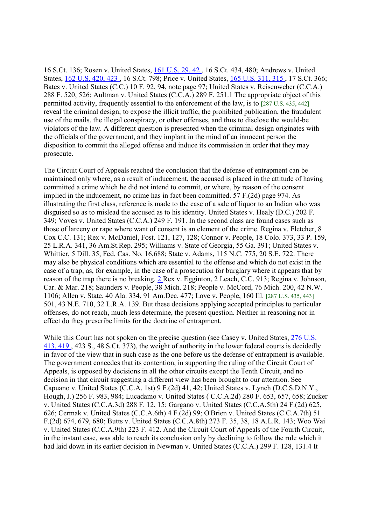16 S.Ct. 136; Rosen v. United States, 161 U.S. 29, 42 , 16 S.Ct. 434, 480; Andrews v. United States, 162 U.S. 420, 423 , 16 S.Ct. 798; Price v. United States, 165 U.S. 311, 315 , 17 S.Ct. 366; Bates v. United States (C.C.) 10 F. 92, 94, note page 97; United States v. Reisenweber (C.C.A.) 288 F. 520, 526; Aultman v. United States (C.C.A.) 289 F. 251.1 The appropriate object of this permitted activity, frequently essential to the enforcement of the law, is to [287 U.S. 435, 442] reveal the criminal design; to expose the illicit traffic, the prohibited publication, the fraudulent use of the mails, the illegal conspiracy, or other offenses, and thus to disclose the would-be violators of the law. A different question is presented when the criminal design originates with the officials of the government, and they implant in the mind of an innocent person the disposition to commit the alleged offense and induce its commission in order that they may prosecute.

The Circuit Court of Appeals reached the conclusion that the defense of entrapment can be maintained only where, as a result of inducement, the accused is placed in the attitude of having committed a crime which he did not intend to commit, or where, by reason of the consent implied in the inducement, no crime has in fact been committed. 57 F.(2d) page 974. As illustrating the first class, reference is made to the case of a sale of liquor to an Indian who was disguised so as to mislead the accused as to his identity. United States v. Healy (D.C.) 202 F. 349; Voves v. United States (C.C.A.) 249 F. 191. In the second class are found cases such as those of larceny or rape where want of consent is an element of the crime. Regina v. Fletcher, 8 Cox C.C. 131; Rex v. McDaniel, Fost. 121, 127, 128; Connor v. People, 18 Colo. 373, 33 P. 159, 25 L.R.A. 341, 36 Am.St.Rep. 295; Williams v. State of Georgia, 55 Ga. 391; United States v. Whittier, 5 Dill. 35, Fed. Cas. No. 16,688; State v. Adams, 115 N.C. 775, 20 S.E. 722. There may also be physical conditions which are essential to the offense and which do not exist in the case of a trap, as, for example, in the case of a prosecution for burglary where it appears that by reason of the trap there is no breaking. 2 Rex v. Egginton, 2 Leach, C.C. 913; Regina v. Johnson, Car. & Mar. 218; Saunders v. People, 38 Mich. 218; People v. McCord, 76 Mich. 200, 42 N.W. 1106; Allen v. State, 40 Ala. 334, 91 Am.Dec. 477; Love v. People, 160 Ill. [287 U.S. 435, 443] 501, 43 N.E. 710, 32 L.R.A. 139. But these decisions applying accepted principles to particular offenses, do not reach, much less determine, the present question. Neither in reasoning nor in effect do they prescribe limits for the doctrine of entrapment.

While this Court has not spoken on the precise question (see Casey v. United States, 276 U.S.) 413, 419 , 423 S., 48 S.Ct. 373), the weight of authority in the lower federal courts is decidedly in favor of the view that in such case as the one before us the defense of entrapment is available. The government concedes that its contention, in supporting the ruling of the Circuit Court of Appeals, is opposed by decisions in all the other circuits except the Tenth Circuit, and no decision in that circuit suggesting a different view has been brought to our attention. See Capuano v. United States (C.C.A. 1st) 9 F.(2d) 41, 42; United States v. Lynch (D.C.S.D.N.Y., Hough, J.) 256 F. 983, 984; Lucadamo v. United States ( C.C.A.2d) 280 F. 653, 657, 658; Zucker v. United States (C.C.A.3d) 288 F. 12, 15; Gargano v. United States (C.C.A.5th) 24 F.(2d) 625, 626; Cermak v. United States (C.C.A.6th) 4 F.(2d) 99; O'Brien v. United States (C.C.A.7th) 51 F.(2d) 674, 679, 680; Butts v. United States (C.C.A.8th) 273 F. 35, 38, 18 A.L.R. 143; Woo Wai v. United States (C.C.A.9th) 223 F. 412. And the Circuit Court of Appeals of the Fourth Circuit, in the instant case, was able to reach its conclusion only by declining to follow the rule which it had laid down in its earlier decision in Newman v. United States (C.C.A.) 299 F. 128, 131.4 It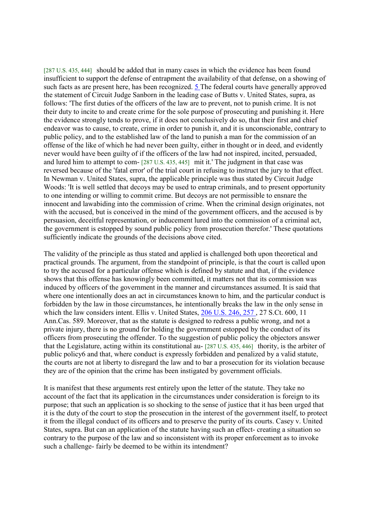[287 U.S. 435, 444] should be added that in many cases in which the evidence has been found insufficient to support the defense of entrapment the availability of that defense, on a showing of such facts as are present here, has been recognized. 5 The federal courts have generally approved the statement of Circuit Judge Sanborn in the leading case of Butts v. United States, supra, as follows: 'The first duties of the officers of the law are to prevent, not to punish crime. It is not their duty to incite to and create crime for the sole purpose of prosecuting and punishing it. Here the evidence strongly tends to prove, if it does not conclusively do so, that their first and chief endeavor was to cause, to create, crime in order to punish it, and it is unconscionable, contrary to public policy, and to the established law of the land to punish a man for the commission of an offense of the like of which he had never been guilty, either in thought or in deed, and evidently never would have been guilty of if the officers of the law had not inspired, incited, persuaded, and lured him to attempt to com- [287 U.S. 435, 445] mit it.' The judgment in that case was reversed because of the 'fatal error' of the trial court in refusing to instruct the jury to that effect. In Newman v. United States, supra, the applicable principle was thus stated by Circuit Judge Woods: 'It is well settled that decoys may be used to entrap criminals, and to present opportunity to one intending or willing to commit crime. But decoys are not permissible to ensnare the innocent and lawabiding into the commission of crime. When the criminal design originates, not with the accused, but is conceived in the mind of the government officers, and the accused is by persuasion, deceitful representation, or inducement lured into the commission of a criminal act, the government is estopped by sound public policy from prosecution therefor.' These quotations sufficiently indicate the grounds of the decisions above cited.

The validity of the principle as thus stated and applied is challenged both upon theoretical and practical grounds. The argument, from the standpoint of principle, is that the court is called upon to try the accused for a particular offense which is defined by statute and that, if the evidence shows that this offense has knowingly been committed, it matters not that its commission was induced by officers of the government in the manner and circumstances assumed. It is said that where one intentionally does an act in circumstances known to him, and the particular conduct is forbidden by the law in those circumstances, he intentionally breaks the law in the only sense in which the law considers intent. Ellis v. United States, 206 U.S. 246, 257, 27 S.Ct. 600, 11 Ann.Cas. 589. Moreover, that as the statute is designed to redress a public wrong, and not a private injury, there is no ground for holding the government estopped by the conduct of its officers from prosecuting the offender. To the suggestion of public policy the objectors answer that the Legislature, acting within its constitutional au- [287 U.S. 435, 446] thority, is the arbiter of public policy6 and that, where conduct is expressly forbidden and penalized by a valid statute, the courts are not at liberty to disregard the law and to bar a prosecution for its violation because they are of the opinion that the crime has been instigated by government officials.

It is manifest that these arguments rest entirely upon the letter of the statute. They take no account of the fact that its application in the circumstances under consideration is foreign to its purpose; that such an application is so shocking to the sense of justice that it has been urged that it is the duty of the court to stop the prosecution in the interest of the government itself, to protect it from the illegal conduct of its officers and to preserve the purity of its courts. Casey v. United States, supra. But can an application of the statute having such an effect- creating a situation so contrary to the purpose of the law and so inconsistent with its proper enforcement as to invoke such a challenge- fairly be deemed to be within its intendment?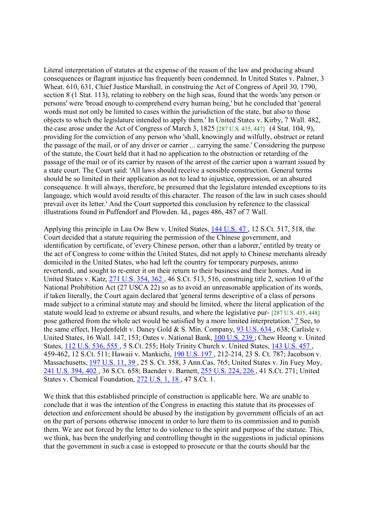Literal interpretation of statutes at the expense of the reason of the law and producing absurd consequences or flagrant injustice has frequently been condemned. In United States v. Palmer, 3 Wheat. 610, 631, Chief Justice Marshall, in construing the Act of Congress of April 30, 1790, section 8 (1 Stat. 113), relating to robbery on the high seas, found that the words 'any person or persons' were 'broad enough to comprehend every human being,' but he concluded that 'general words must not only be limited to cases within the jurisdiction of the state, but also to those objects to which the legislature intended to apply them.' In United States v. Kirby, 7 Wall. 482, the case arose under the Act of Congress of March 3, 1825 [287 U.S. 435, 447] (4 Stat. 104, 9), providing for the conviction of any person who 'shall, knowingly and wilfully, obstruct or retard the passage of the mail, or of any driver or carrier ... carrying the same.' Considering the purpose of the statute, the Court held that it had no application to the obstruction or retarding of the passage of the mail or of its carrier by reason of the arrest of the carrier upon a warrant issued by a state court. The Court said: 'All laws should receive a sensible construction. General terms should be so limited in their application as not to lead to injustice, oppression, or an absured consequence. It will always, therefore, be presumed that the legislature intended exceptions to its language, which would avoid results of this character. The reason of the law in such cases should prevail over its letter.' And the Court supported this conclusion by reference to the classical illustrations found in Puffendorf and Plowden. Id., pages 486, 487 of 7 Wall.

Applying this principle in Lau Ow Bew v. United States, 144 U.S. 47 , 12 S.Ct. 517, 518, the Court decided that a statute requiring the permission of the Chinese government, and identification by certificate, of 'every Chinese person, other than a laborer,' entitled by treaty or the act of Congress to come within the United States, did not apply to Chinese merchants already domiciled in the United States, who had left the country for temporary purposes, animo revertendi, and sought to re-enter it on their return to their business and their homes. And in United States v. Katz, 271 U.S. 354, 362 , 46 S.Ct. 513, 516, construing title 2, section 10 of the National Prohibition Act (27 USCA 22) so as to avoid an unreasonable application of its words, if taken literally, the Court again declared that 'general terms descriptive of a class of persons made subject to a criminal statute may and should be limited, where the literal application of the statute would lead to extreme or absurd results, and where the legislative pur- [287 U.S. 435, 448] pose gathered from the whole act would be satisfied by a more limited interpretation.' 7 See, to the same effect, Heydenfeldt v. Daney Gold & S. Min. Company, **93 U.S. 634**, 638; Carlisle v. United States, 16 Wall. 147, 153; Oates v. National Bank, 100 U.S. 239 ; Chew Heong v. United States, 112 U.S. 536, 555 , 5 S.Ct. 255; Holy Trinity Church v. United States, 143 U.S. 457 , 459-462, 12 S.Ct. 511; Hawaii v. Mankichi, 190 U.S. 197 , 212-214, 23 S. Ct. 787; Jacobson v. Massachusetts, 197 U.S. 11, 39 , 25 S. Ct. 358, 3 Ann.Cas. 765; United States v. Jin Fuey Moy, 241 U.S. 394, 402 , 36 S.Ct. 658; Baender v. Barnett, 255 U.S. 224, 226 , 41 S.Ct. 271; United States v. Chemical Foundation, 272 U.S. 1, 18 , 47 S.Ct. 1.

We think that this established principle of construction is applicable here. We are unable to conclude that it was the intention of the Congress in enacting this statute that its processes of detection and enforcement should be abused by the instigation by government officials of an act on the part of persons otherwise innocent in order to lure them to its commission and to punish them. We are not forced by the letter to do violence to the spirit and purpose of the statute. This, we think, has been the underlying and controlling thought in the suggestions in judicial opinions that the government in such a case is estopped to prosecute or that the courts should bar the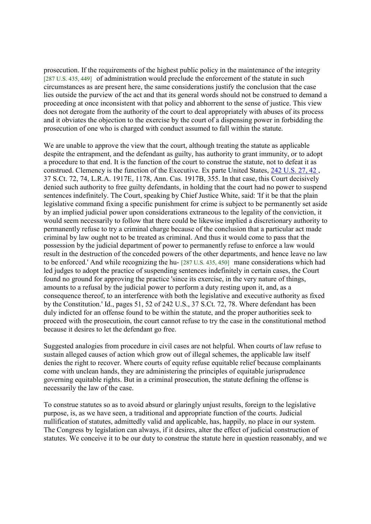prosecution. If the requirements of the highest public policy in the maintenance of the integrity [287 U.S. 435, 449] of administration would preclude the enforcement of the statute in such circumstances as are present here, the same considerations justify the conclusion that the case lies outside the purview of the act and that its general words should not be construed to demand a proceeding at once inconsistent with that policy and abhorrent to the sense of justice. This view does not derogate from the authority of the court to deal appropriately with abuses of its process and it obviates the objection to the exercise by the court of a dispensing power in forbidding the prosecution of one who is charged with conduct assumed to fall within the statute.

We are unable to approve the view that the court, although treating the statute as applicable despite the entrapment, and the defendant as guilty, has authority to grant immunity, or to adopt a procedure to that end. It is the function of the court to construe the statute, not to defeat it as construed. Clemency is the function of the Executive. Ex parte United States, 242 U.S. 27, 42 , 37 S.Ct. 72, 74, L.R.A. 1917E, 1178, Ann. Cas. 1917B, 355. In that case, this Court decisively denied such authority to free guilty defendants, in holding that the court had no power to suspend sentences indefinitely. The Court, speaking by Chief Justice White, said: 'If it be that the plain legislative command fixing a specific punishment for crime is subject to be permanently set aside by an implied judicial power upon considerations extraneous to the legality of the conviction, it would seem necessarily to follow that there could be likewise implied a discretionary authority to permanently refuse to try a criminal charge because of the conclusion that a particular act made criminal by law ought not to be treated as criminal. And thus it would come to pass that the possession by the judicial department of power to permanently refuse to enforce a law would result in the destruction of the conceded powers of the other departments, and hence leave no law to be enforced.' And while recognizing the hu- [287 U.S. 435, 450] mane considerations which had led judges to adopt the practice of suspending sentences indefinitely in certain cases, the Court found no ground for approving the practice 'since its exercise, in the very nature of things, amounts to a refusal by the judicial power to perform a duty resting upon it, and, as a consequence thereof, to an interference with both the legislative and executive authority as fixed by the Constitution.' Id., pages 51, 52 of 242 U.S., 37 S.Ct. 72, 78. Where defendant has been duly indicted for an offense found to be within the statute, and the proper authorities seek to proceed with the prosecutioin, the court cannot refuse to try the case in the constitutional method because it desires to let the defendant go free.

Suggested analogies from procedure in civil cases are not helpful. When courts of law refuse to sustain alleged causes of action which grow out of illegal schemes, the applicable law itself denies the right to recover. Where courts of equity refuse equitable relief because complainants come with unclean hands, they are administering the principles of equitable jurisprudence governing equitable rights. But in a criminal prosecution, the statute defining the offense is necessarily the law of the case.

To construe statutes so as to avoid absurd or glaringly unjust results, foreign to the legislative purpose, is, as we have seen, a traditional and appropriate function of the courts. Judicial nullification of statutes, admittedly valid and applicable, has, happily, no place in our system. The Congress by legislation can always, if it desires, alter the effect of judicial construction of statutes. We conceive it to be our duty to construe the statute here in question reasonably, and we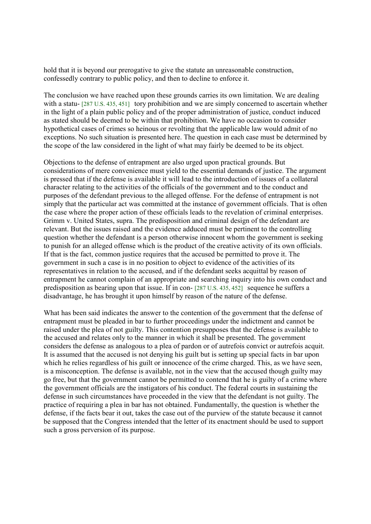hold that it is beyond our prerogative to give the statute an unreasonable construction, confessedly contrary to public policy, and then to decline to enforce it.

The conclusion we have reached upon these grounds carries its own limitation. We are dealing with a statu- [287 U.S. 435, 451] tory prohibition and we are simply concerned to ascertain whether in the light of a plain public policy and of the proper administration of justice, conduct induced as stated should be deemed to be within that prohibition. We have no occasion to consider hypothetical cases of crimes so heinous or revolting that the applicable law would admit of no exceptions. No such situation is presented here. The question in each case must be determined by the scope of the law considered in the light of what may fairly be deemed to be its object.

Objections to the defense of entrapment are also urged upon practical grounds. But considerations of mere convenience must yield to the essential demands of justice. The argument is pressed that if the defense is available it will lead to the introduction of issues of a collateral character relating to the activities of the officials of the government and to the conduct and purposes of the defendant previous to the alleged offense. For the defense of entrapment is not simply that the particular act was committed at the instance of government officials. That is often the case where the proper action of these officials leads to the revelation of criminal enterprises. Grimm v. United States, supra. The predisposition and criminal design of the defendant are relevant. But the issues raised and the evidence adduced must be pertinent to the controlling question whether the defendant is a person otherwise innocent whom the government is seeking to punish for an alleged offense which is the product of the creative activity of its own officials. If that is the fact, common justice requires that the accused be permitted to prove it. The government in such a case is in no position to object to evidence of the activities of its representatives in relation to the accused, and if the defendant seeks acquittal by reason of entrapment he cannot complain of an appropriate and searching inquiry into his own conduct and predisposition as bearing upon that issue. If in con- [287 U.S. 435, 452] sequence he suffers a disadvantage, he has brought it upon himself by reason of the nature of the defense.

What has been said indicates the answer to the contention of the government that the defense of entrapment must be pleaded in bar to further proceedings under the indictment and cannot be raised under the plea of not guilty. This contention presupposes that the defense is available to the accused and relates only to the manner in which it shall be presented. The government considers the defense as analogous to a plea of pardon or of autrefois convict or autrefois acquit. It is assumed that the accused is not denying his guilt but is setting up special facts in bar upon which he relies regardless of his guilt or innocence of the crime charged. This, as we have seen, is a misconception. The defense is available, not in the view that the accused though guilty may go free, but that the government cannot be permitted to contend that he is guilty of a crime where the government officials are the instigators of his conduct. The federal courts in sustaining the defense in such circumstances have proceeded in the view that the defendant is not guilty. The practice of requiring a plea in bar has not obtained. Fundamentally, the question is whether the defense, if the facts bear it out, takes the case out of the purview of the statute because it cannot be supposed that the Congress intended that the letter of its enactment should be used to support such a gross perversion of its purpose.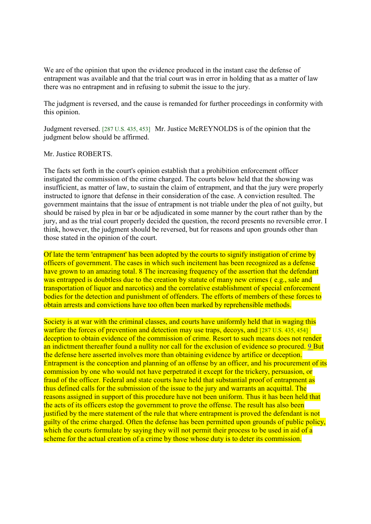We are of the opinion that upon the evidence produced in the instant case the defense of entrapment was available and that the trial court was in error in holding that as a matter of law there was no entrapment and in refusing to submit the issue to the jury.

The judgment is reversed, and the cause is remanded for further proceedings in conformity with this opinion.

Judgment reversed. [287 U.S. 435, 453] Mr. Justice McREYNOLDS is of the opinion that the judgment below should be affirmed.

Mr. Justice ROBERTS.

The facts set forth in the court's opinion establish that a prohibition enforcement officer instigated the commission of the crime charged. The courts below held that the showing was insufficient, as matter of law, to sustain the claim of entrapment, and that the jury were properly instructed to ignore that defense in their consideration of the case. A conviction resulted. The government maintains that the issue of entrapment is not triable under the plea of not guilty, but should be raised by plea in bar or be adjudicated in some manner by the court rather than by the jury, and as the trial court properly decided the question, the record presents no reversible error. I think, however, the judgment should be reversed, but for reasons and upon grounds other than those stated in the opinion of the court.

Of late the term 'entrapment' has been adopted by the courts to signify instigation of crime by officers of government. The cases in which such incitement has been recognized as a defense have grown to an amazing total. 8 The increasing frequency of the assertion that the defendant was entrapped is doubtless due to the creation by statute of many new crimes (e.g., sale and transportation of liquor and narcotics) and the correlative establishment of special enforcement bodies for the detection and punishment of offenders. The efforts of members of these forces to obtain arrests and convictions have too often been marked by reprehensible methods.

Society is at war with the criminal classes, and courts have uniformly held that in waging this warfare the forces of prevention and detection may use traps, decoys, and [287 U.S. 435, 454] deception to obtain evidence of the commission of crime. Resort to such means does not render an indictment thereafter found a nullity nor call for the exclusion of evidence so procured. 9 But the defense here asserted involves more than obtaining evidence by artifice or deception. Entrapment is the conception and planning of an offense by an officer, and his procurement of its commission by one who would not have perpetrated it except for the trickery, persuasion, or fraud of the officer. Federal and state courts have held that substantial proof of entrapment as thus defined calls for the submission of the issue to the jury and warrants an acquittal. The reasons assigned in support of this procedure have not been uniform. Thus it has been held that the acts of its officers estop the government to prove the offense. The result has also been justified by the mere statement of the rule that where entrapment is proved the defendant is not guilty of the crime charged. Often the defense has been permitted upon grounds of public policy, which the courts formulate by saying they will not permit their process to be used in aid of a scheme for the actual creation of a crime by those whose duty is to deter its commission.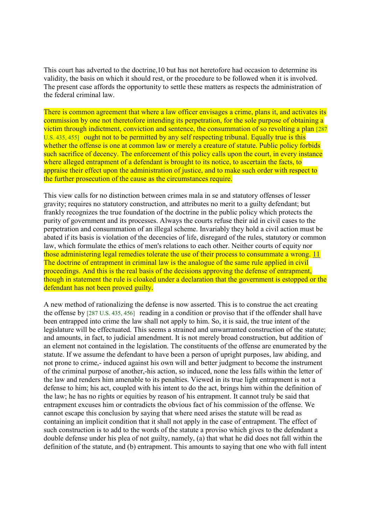This court has adverted to the doctrine,10 but has not heretofore had occasion to determine its validity, the basis on which it should rest, or the procedure to be followed when it is involved. The present case affords the opportunity to settle these matters as respects the administration of the federal criminal law.

There is common agreement that where a law officer envisages a crime, plans it, and activates its commission by one not theretofore intending its perpetration, for the sole purpose of obtaining a victim through indictment, conviction and sentence, the consummation of so revolting a plan [287 U.S. 435, 455] ought not to be permitted by any self respecting tribunal. Equally true is this whether the offense is one at common law or merely a creature of statute. Public policy forbids such sacrifice of decency. The enforcement of this policy calls upon the court, in every instance where alleged entrapment of a defendant is brought to its notice, to ascertain the facts, to appraise their effect upon the administration of justice, and to make such order with respect to the further prosecution of the cause as the circumstances require.

This view calls for no distinction between crimes mala in se and statutory offenses of lesser gravity; requires no statutory construction, and attributes no merit to a guilty defendant; but frankly recognizes the true foundation of the doctrine in the public policy which protects the purity of government and its processes. Always the courts refuse their aid in civil cases to the perpetration and consummation of an illegal scheme. Invariably they hold a civil action must be abated if its basis is violation of the decencies of life, disregard of the rules, statutory or common law, which formulate the ethics of men's relations to each other. Neither courts of equity nor those administering legal remedies tolerate the use of their process to consummate a wrong. 11 The doctrine of entrapment in criminal law is the analogue of the same rule applied in civil proceedings. And this is the real basis of the decisions approving the defense of entrapment, though in statement the rule is cloaked under a declaration that the government is estopped or the defendant has not been proved guilty.

A new method of rationalizing the defense is now asserted. This is to construe the act creating the offense by [287 U.S. 435, 456] reading in a condition or proviso that if the offender shall have been entrapped into crime the law shall not apply to him. So, it is said, the true intent of the legislature will be effectuated. This seems a strained and unwarranted construction of the statute; and amounts, in fact, to judicial amendment. It is not merely broad construction, but addition of an element not contained in the legislation. The constituents of the offense are enumerated by the statute. If we assume the defendant to have been a person of upright purposes, law abiding, and not prone to crime,- induced against his own will and better judgment to become the instrument of the criminal purpose of another,-his action, so induced, none the less falls within the letter of the law and renders him amenable to its penalties. Viewed in its true light entrapment is not a defense to him; his act, coupled with his intent to do the act, brings him within the definition of the law; he has no rights or equities by reason of his entrapment. It cannot truly be said that entrapment excuses him or contradicts the obvious fact of his commission of the offense. We cannot escape this conclusion by saying that where need arises the statute will be read as containing an implicit condition that it shall not apply in the case of entrapment. The effect of such construction is to add to the words of the statute a proviso which gives to the defendant a double defense under his plea of not guilty, namely, (a) that what he did does not fall within the definition of the statute, and (b) entrapment. This amounts to saying that one who with full intent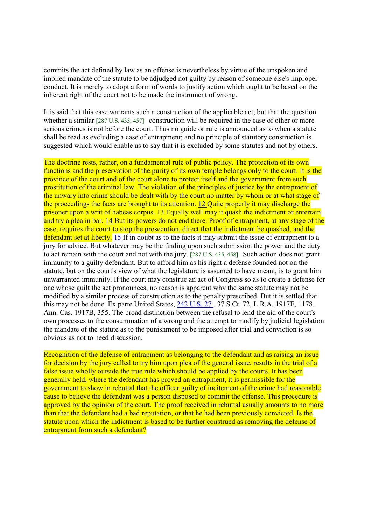commits the act defined by law as an offense is nevertheless by virtue of the unspoken and implied mandate of the statute to be adjudged not guilty by reason of someone else's improper conduct. It is merely to adopt a form of words to justify action which ought to be based on the inherent right of the court not to be made the instrument of wrong.

It is said that this case warrants such a construction of the applicable act, but that the question whether a similar [287 U.S. 435, 457] construction will be required in the case of other or more serious crimes is not before the court. Thus no guide or rule is announced as to when a statute shall be read as excluding a case of entrapment; and no principle of statutory construction is suggested which would enable us to say that it is excluded by some statutes and not by others.

The doctrine rests, rather, on a fundamental rule of public policy. The protection of its own functions and the preservation of the purity of its own temple belongs only to the court. It is the province of the court and of the court alone to protect itself and the government from such prostitution of the criminal law. The violation of the principles of justice by the entrapment of the unwary into crime should be dealt with by the court no matter by whom or at what stage of the proceedings the facts are brought to its attention. 12 Quite properly it may discharge the prisoner upon a writ of habeas corpus. 13 Equally well may it quash the indictment or entertain and try a plea in bar. 14 But its powers do not end there. Proof of entrapment, at any stage of the case, requires the court to stop the prosecution, direct that the indictment be quashed, and the defendant set at liberty. 15 If in doubt as to the facts it may submit the issue of entrapment to a jury for advice. But whatever may be the finding upon such submission the power and the duty to act remain with the court and not with the jury. [287 U.S. 435, 458] Such action does not grant immunity to a guilty defendant. But to afford him as his right a defense founded not on the statute, but on the court's view of what the legislature is assumed to have meant, is to grant him unwarranted immunity. If the court may construe an act of Congress so as to create a defense for one whose guilt the act pronounces, no reason is apparent why the same statute may not be modified by a similar process of construction as to the penalty prescribed. But it is settled that this may not be done. Ex parte United States, 242 U.S. 27 , 37 S.Ct. 72, L.R.A. 1917E, 1178, Ann. Cas. 1917B, 355. The broad distinction between the refusal to lend the aid of the court's own processes to the consummation of a wrong and the attempt to modify by judicial legislation the mandate of the statute as to the punishment to be imposed after trial and conviction is so obvious as not to need discussion.

Recognition of the defense of entrapment as belonging to the defendant and as raising an issue for decision by the jury called to try him upon plea of the general issue, results in the trial of a false issue wholly outside the true rule which should be applied by the courts. It has been generally held, where the defendant has proved an entrapment, it is permissible for the government to show in rebuttal that the officer guilty of incitement of the crime had reasonable cause to believe the defendant was a person disposed to commit the offense. This procedure is approved by the opinion of the court. The proof received in rebuttal usually amounts to no more than that the defendant had a bad reputation, or that he had been previously convicted. Is the statute upon which the indictment is based to be further construed as removing the defense of entrapment from such a defendant?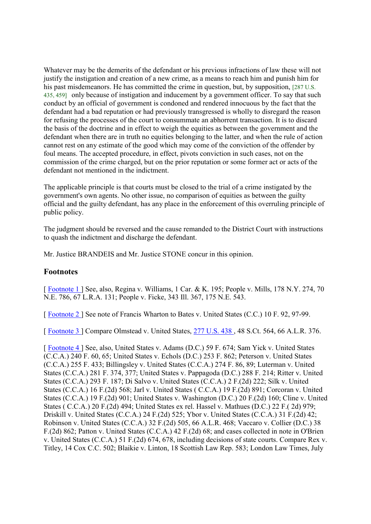Whatever may be the demerits of the defendant or his previous infractions of law these will not justify the instigation and creation of a new crime, as a means to reach him and punish him for his past misdemeanors. He has committed the crime in question, but, by supposition, [287 U.S.] 435, 459] only because of instigation and inducement by a government officer. To say that such conduct by an official of government is condoned and rendered innocuous by the fact that the defendant had a bad reputation or had previously transgressed is wholly to disregard the reason for refusing the processes of the court to consummate an abhorrent transaction. It is to discard the basis of the doctrine and in effect to weigh the equities as between the government and the defendant when there are in truth no equities belonging to the latter, and when the rule of action cannot rest on any estimate of the good which may come of the conviction of the offender by foul means. The accepted procedure, in effect, pivots conviction in such cases, not on the commission of the crime charged, but on the prior reputation or some former act or acts of the defendant not mentioned in the indictment.

The applicable principle is that courts must be closed to the trial of a crime instigated by the government's own agents. No other issue, no comparison of equities as between the guilty official and the guilty defendant, has any place in the enforcement of this overruling principle of public policy.

The judgment should be reversed and the cause remanded to the District Court with instructions to quash the indictment and discharge the defendant.

Mr. Justice BRANDEIS and Mr. Justice STONE concur in this opinion.

#### **Footnotes**

[ Footnote 1 ] See, also, Regina v. Williams, 1 Car. & K. 195; People v. Mills, 178 N.Y. 274, 70 N.E. 786, 67 L.R.A. 131; People v. Ficke, 343 Ill. 367, 175 N.E. 543.

[ Footnote 2 ] See note of Francis Wharton to Bates v. United States (C.C.) 10 F. 92, 97-99.

[ Footnote 3 ] Compare Olmstead v. United States, 277 U.S. 438 , 48 S.Ct. 564, 66 A.L.R. 376.

[ Footnote 4 ] See, also, United States v. Adams (D.C.) 59 F. 674; Sam Yick v. United States (C.C.A.) 240 F. 60, 65; United States v. Echols (D.C.) 253 F. 862; Peterson v. United States (C.C.A.) 255 F. 433; Billingsley v. United States (C.C.A.) 274 F. 86, 89; Luterman v. United States (C.C.A.) 281 F. 374, 377; United States v. Pappagoda (D.C.) 288 F. 214; Ritter v. United States (C.C.A.) 293 F. 187; Di Salvo v. United States (C.C.A.) 2 F.(2d) 222; Silk v. United States (C.C.A.) 16 F.(2d) 568; Jarl v. United States ( C.C.A.) 19 F.(2d) 891; Corcoran v. United States (C.C.A.) 19 F.(2d) 901; United States v. Washington (D.C.) 20 F.(2d) 160; Cline v. United States ( C.C.A.) 20 F.(2d) 494; United States ex rel. Hassel v. Mathues (D.C.) 22 F.( 2d) 979; Driskill v. United States (C.C.A.) 24 F.(2d) 525; Ybor v. United States (C.C.A.) 31 F.(2d) 42; Robinson v. United States (C.C.A.) 32 F.(2d) 505, 66 A.L.R. 468; Vaccaro v. Collier (D.C.) 38 F.(2d) 862; Patton v. United States (C.C.A.) 42 F.(2d) 68; and cases collected in note in O'Brien v. United States (C.C.A.) 51 F.(2d) 674, 678, including decisions of state courts. Compare Rex v. Titley, 14 Cox C.C. 502; Blaikie v. Linton, 18 Scottish Law Rep. 583; London Law Times, July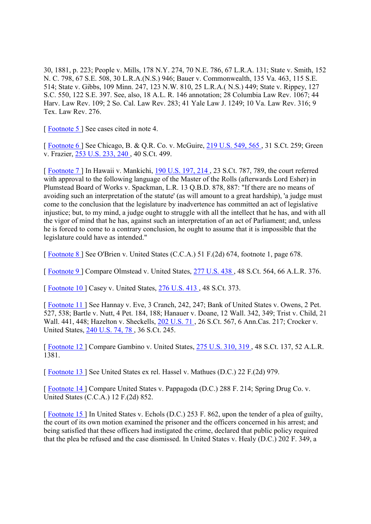30, 1881, p. 223; People v. Mills, 178 N.Y. 274, 70 N.E. 786, 67 L.R.A. 131; State v. Smith, 152 N. C. 798, 67 S.E. 508, 30 L.R.A.(N.S.) 946; Bauer v. Commonwealth, 135 Va. 463, 115 S.E. 514; State v. Gibbs, 109 Minn. 247, 123 N.W. 810, 25 L.R.A.( N.S.) 449; State v. Rippey, 127 S.C. 550, 122 S.E. 397. See, also, 18 A.L. R. 146 annotation; 28 Columbia Law Rev. 1067; 44 Harv. Law Rev. 109; 2 So. Cal. Law Rev. 283; 41 Yale Law J. 1249; 10 Va. Law Rev. 316; 9 Tex. Law Rev. 276.

[ Footnote 5 ] See cases cited in note 4.

[ Footnote 6 ] See Chicago, B. & Q.R. Co. v. McGuire, 219 U.S. 549, 565 , 31 S.Ct. 259; Green v. Frazier, 253 U.S. 233, 240 , 40 S.Ct. 499.

[ Footnote 7 ] In Hawaii v. Mankichi, 190 U.S. 197, 214, 23 S.Ct. 787, 789, the court referred with approval to the following language of the Master of the Rolls (afterwards Lord Esher) in Plumstead Board of Works v. Spackman, L.R. 13 Q.B.D. 878, 887: "If there are no means of avoiding such an interpretation of the statute' (as will amount to a great hardship), 'a judge must come to the conclusion that the legislature by inadvertence has committed an act of legislative injustice; but, to my mind, a judge ought to struggle with all the intellect that he has, and with all the vigor of mind that he has, against such an interpretation of an act of Parliament; and, unless he is forced to come to a contrary conclusion, he ought to assume that it is impossible that the legislature could have as intended."

[ Footnote 8 ] See O'Brien v. United States (C.C.A.) 51 F.(2d) 674, footnote 1, page 678.

[ Footnote 9 ] Compare Olmstead v. United States, 277 U.S. 438 , 48 S.Ct. 564, 66 A.L.R. 376.

[ <u>Footnote 10</u> ] Casey v. United States, 276 U.S. 413, 48 S.Ct. 373.

[ Footnote 11 ] See Hannay v. Eve, 3 Cranch, 242, 247; Bank of United States v. Owens, 2 Pet. 527, 538; Bartle v. Nutt, 4 Pet. 184, 188; Hanauer v. Doane, 12 Wall. 342, 349; Trist v. Child, 21 Wall. 441, 448; Hazelton v. Sheckells, 202 U.S. 71, 26 S.Ct. 567, 6 Ann.Cas. 217; Crocker v. United States, 240 U.S. 74, 78 , 36 S.Ct. 245.

[ Footnote 12 ] Compare Gambino v. United States, 275 U.S. 310, 319 , 48 S.Ct. 137, 52 A.L.R. 1381.

[ Footnote 13 ] See United States ex rel. Hassel v. Mathues (D.C.) 22 F.(2d) 979.

[ Footnote 14 ] Compare United States v. Pappagoda (D.C.) 288 F. 214; Spring Drug Co. v. United States (C.C.A.) 12 F.(2d) 852.

[ Footnote 15 ] In United States v. Echols (D.C.) 253 F. 862, upon the tender of a plea of guilty, the court of its own motion examined the prisoner and the officers concerned in his arrest; and being satisfied that these officers had instigated the crime, declared that public policy required that the plea be refused and the case dismissed. In United States v. Healy (D.C.) 202 F. 349, a